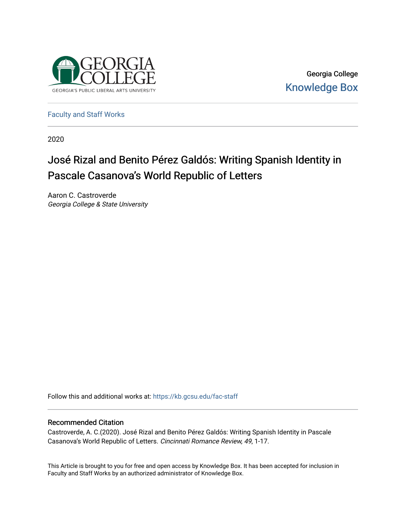

Georgia College [Knowledge Box](https://kb.gcsu.edu/) 

[Faculty and Staff Works](https://kb.gcsu.edu/fac-staff)

2020

## José Rizal and Benito Pérez Galdós: Writing Spanish Identity in Pascale Casanova's World Republic of Letters

Aaron C. Castroverde Georgia College & State University

Follow this and additional works at: [https://kb.gcsu.edu/fac-staff](https://kb.gcsu.edu/fac-staff?utm_source=kb.gcsu.edu%2Ffac-staff%2F74&utm_medium=PDF&utm_campaign=PDFCoverPages) 

### Recommended Citation

Castroverde, A. C.(2020). José Rizal and Benito Pérez Galdós: Writing Spanish Identity in Pascale Casanova's World Republic of Letters. Cincinnati Romance Review, 49, 1-17.

This Article is brought to you for free and open access by Knowledge Box. It has been accepted for inclusion in Faculty and Staff Works by an authorized administrator of Knowledge Box.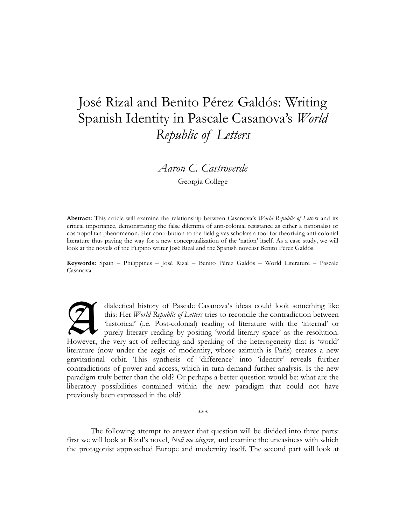# José Rizal and Benito Pérez Galdós: Writing Spanish Identity in Pascale Casanova's *World Republic of Letters*

*Aaron C. Castroverde* 

Georgia College

**Abstract:** This article will examine the relationship between Casanova's *World Republic of Letters* and its critical importance, demonstrating the false dilemma of anti-colonial resistance as either a nationalist or cosmopolitan phenomenon. Her contribution to the field gives scholars a tool for theorizing anti-colonial literature thus paving the way for a new conceptualization of the 'nation' itself. As a case study, we will look at the novels of the Filipino writer José Rizal and the Spanish novelist Benito Pérez Galdós.

**Keywords:** Spain – Philippines – José Rizal – Benito Pérez Galdós – World Literature – Pascale Casanova.

dialectical history of Pascale Casanova's ideas could look something like this: Her *World Republic of Letters* tries to reconcile the contradiction between 'historical' (i.e. Post-colonial) reading of literature with the 'internal' or purely literary reading by positing 'world literary space' as the resolution. However, the very act of reflecting and speaking of the heterogeneity that is 'world' literature (now under the aegis of modernity, whose azimuth is Paris) creates a new gravitational orbit. This synthesis of 'difference' into 'identity' reveals further contradictions of power and access, which in turn demand further analysis. Is the new paradigm truly better than the old? Or perhaps a better question would be: what are the liberatory possibilities contained within the new paradigm that could not have previously been expressed in the old? **A** 

The following attempt to answer that question will be divided into three parts: first we will look at Rizal's novel, *Noli me tángere*, and examine the uneasiness with which the protagonist approached Europe and modernity itself. The second part will look at

\*\*\*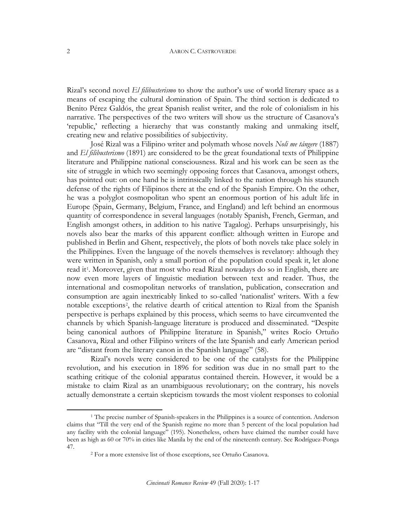#### AARON C. CASTROVERDE

Rizal's second novel *El filibusterismo* to show the author's use of world literary space as a means of escaping the cultural domination of Spain. The third section is dedicated to Benito Pérez Galdós, the great Spanish realist writer, and the role of colonialism in his narrative. The perspectives of the two writers will show us the structure of Casanova's 'republic,' reflecting a hierarchy that was constantly making and unmaking itself, creating new and relative possibilities of subjectivity.

José Rizal was a Filipino writer and polymath whose novels *Noli me tángere* (1887) and *El filibusterismo* (1891) are considered to be the great foundational texts of Philippine literature and Philippine national consciousness. Rizal and his work can be seen as the site of struggle in which two seemingly opposing forces that Casanova, amongst others, has pointed out: on one hand he is intrinsically linked to the nation through his staunch defense of the rights of Filipinos there at the end of the Spanish Empire. On the other, he was a polyglot cosmopolitan who spent an enormous portion of his adult life in Europe (Spain, Germany, Belgium, France, and England) and left behind an enormous quantity of correspondence in several languages (notably Spanish, French, German, and English amongst others, in addition to his native Tagalog). Perhaps unsurprisingly, his novels also bear the marks of this apparent conflict: although written in Europe and published in Berlin and Ghent, respectively, the plots of both novels take place solely in the Philippines. Even the language of the novels themselves is revelatory: although they were written in Spanish, only a small portion of the population could speak it, let alone read it[1.](#page-2-0) Moreover, given that most who read Rizal nowadays do so in English, there are now even more layers of linguistic mediation between text and reader. Thus, the international and cosmopolitan networks of translation, publication, consecration and consumption are again inextricably linked to so-called 'nationalist' writers. With a few notable exceptions[2,](#page-2-1) the relative dearth of critical attention to Rizal from the Spanish perspective is perhaps explained by this process, which seems to have circumvented the channels by which Spanish-language literature is produced and disseminated. "Despite being canonical authors of Philippine literature in Spanish," writes Rocío Ortuño Casanova, Rizal and other Filipino writers of the late Spanish and early American period are "distant from the literary canon in the Spanish language" (58).

Rizal's novels were considered to be one of the catalysts for the Philippine revolution, and his execution in 1896 for sedition was due in no small part to the scathing critique of the colonial apparatus contained therein. However, it would be a mistake to claim Rizal as an unambiguous revolutionary; on the contrary, his novels actually demonstrate a certain skepticism towards the most violent responses to colonial

 $\overline{a}$ 

<span id="page-2-1"></span><span id="page-2-0"></span><sup>1</sup> The precise number of Spanish-speakers in the Philippines is a source of contention. Anderson claims that "Till the very end of the Spanish regime no more than 5 percent of the local population had any facility with the colonial language" (195). Nonetheless, others have claimed the number could have been as high as 60 or 70% in cities like Manila by the end of the nineteenth century. See Rodríguez-Ponga 47. 2 For a more extensive list of those exceptions, see Ortuño Casanova.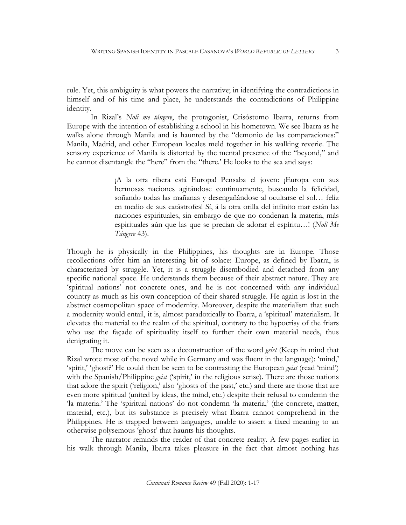rule. Yet, this ambiguity is what powers the narrative; in identifying the contradictions in himself and of his time and place, he understands the contradictions of Philippine identity.

In Rizal's *Noli me tángere*, the protagonist, Crisóstomo Ibarra, returns from Europe with the intention of establishing a school in his hometown. We see Ibarra as he walks alone through Manila and is haunted by the "demonio de las comparaciones:" Manila, Madrid, and other European locales meld together in his walking reverie. The sensory experience of Manila is distorted by the mental presence of the "beyond," and he cannot disentangle the "here" from the "there.' He looks to the sea and says:

> ¡A la otra ribera está Europa! Pensaba el joven: ¡Europa con sus hermosas naciones agitándose continuamente, buscando la felicidad, soñando todas las mañanas y desengañándose al ocultarse el sol… feliz en medio de sus catástrofes! Sí, á la otra orilla del infinito mar están las naciones espirituales, sin embargo de que no condenan la materia, más espirituales aún que las que se precian de adorar el espíritu…! (*Noli Me Tángere* 43).

Though he is physically in the Philippines, his thoughts are in Europe. Those recollections offer him an interesting bit of solace: Europe, as defined by Ibarra, is characterized by struggle. Yet, it is a struggle disembodied and detached from any specific national space. He understands them because of their abstract nature. They are 'spiritual nations' not concrete ones, and he is not concerned with any individual country as much as his own conception of their shared struggle. He again is lost in the abstract cosmopolitan space of modernity. Moreover, despite the materialism that such a modernity would entail, it is, almost paradoxically to Ibarra, a 'spiritual' materialism. It elevates the material to the realm of the spiritual, contrary to the hypocrisy of the friars who use the façade of spirituality itself to further their own material needs, thus denigrating it.

The move can be seen as a deconstruction of the word *geist* (Keep in mind that Rizal wrote most of the novel while in Germany and was fluent in the language): 'mind,' 'spirit,' 'ghost?' He could then be seen to be contrasting the European *geist* (read 'mind') with the Spanish/Philippine *geist* ('spirit,' in the religious sense). There are those nations that adore the spirit ('religion,' also 'ghosts of the past,' etc.) and there are those that are even more spiritual (united by ideas, the mind, etc.) despite their refusal to condemn the 'la materia.' The 'spiritual nations' do not condemn 'la materia,' (the concrete, matter, material, etc.), but its substance is precisely what Ibarra cannot comprehend in the Philippines. He is trapped between languages, unable to assert a fixed meaning to an otherwise polysemous 'ghost' that haunts his thoughts.

The narrator reminds the reader of that concrete reality. A few pages earlier in his walk through Manila, Ibarra takes pleasure in the fact that almost nothing has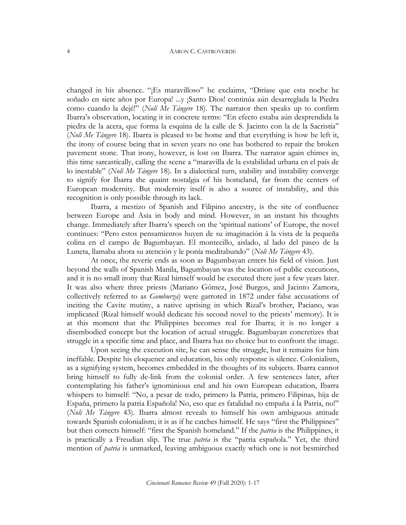changed in his absence. "¡Es maravilloso" he exclaims, "Diríase que esta noche he soñado en siete años por Europa! ...y ¡Santo Dios! continúa aún desarreglada la Piedra como cuando la dejé!" (*Noli Me Tángere* 18). The narrator then speaks up to confirm Ibarra's observation, locating it in concrete terms: "En efecto estaba aún desprendida la piedra de la acera, que forma la esquina de la calle de S. Jacinto con la de la Sacristía" (*Noli Me Tángere* 18). Ibarra is pleased to be home and that everything is how he left it, the irony of course being that in seven years no one has bothered to repair the broken pavement stone. That irony, however, is lost on Ibarra. The narrator again chimes in, this time sarcastically, calling the scene a "maravilla de la estabilidad urbana en el país de lo inestable" (*Noli Me Tángere* 18). In a dialectical turn, stability and instability converge to signify for Ibarra the quaint nostalgia of his homeland, far from the centers of European modernity. But modernity itself is also a source of instability, and this recognition is only possible through its lack.

Ibarra, a mestizo of Spanish and Filipino ancestry, is the site of confluence between Europe and Asia in body and mind. However, in an instant his thoughts change. Immediately after Ibarra's speech on the 'spiritual nations' of Europe, the novel continues: "Pero estos pensamientos huyen de su imaginación á la vista de la pequeña colina en el campo de Bagumbayan. El montecillo, aislado, al lado del paseo de la Luneta, llamaba ahora su atención y le ponía meditabundo" (*Noli Me Tángere* 43).

At once, the reverie ends as soon as Bagumbayan enters his field of vision. Just beyond the walls of Spanish Manila, Bagumbayan was the location of public executions, and it is no small irony that Rizal himself would be executed there just a few years later. It was also where three priests (Mariano Gómez, José Burgos, and Jacinto Zamora, collectively referred to as *Gomburza*) were garroted in 1872 under false accusations of inciting the Cavite mutiny, a native uprising in which Rizal's brother, Paciano, was implicated (Rizal himself would dedicate his second novel to the priests' memory). It is at this moment that the Philippines becomes real for Ibarra; it is no longer a disembodied concept but the location of actual struggle. Bagumbayan concretizes that struggle in a specific time and place, and Ibarra has no choice but to confront the image.

Upon seeing the execution site, he can sense the struggle, but it remains for him ineffable. Despite his eloquence and education, his only response is silence. Colonialism, as a signifying system, becomes embedded in the thoughts of its subjects. Ibarra cannot bring himself to fully de-link from the colonial order. A few sentences later, after contemplating his father's ignominious end and his own European education, Ibarra whispers to himself: "No, a pesar de todo, primero la Patria, primero Filipinas, hija de España, primero la patria Española! No, eso que es fatalidad no empaña á la Patria, no!" (*Noli Me Tángere* 43). Ibarra almost reveals to himself his own ambiguous attitude towards Spanish colonialism; it is as if he catches himself. He says "first the Philippines" but then corrects himself: "first the Spanish homeland." If the *patria* is the Philippines, it is practically a Freudian slip. The true *patria* is the "patria española." Yet, the third mention of *patria* is unmarked, leaving ambiguous exactly which one is not besmirched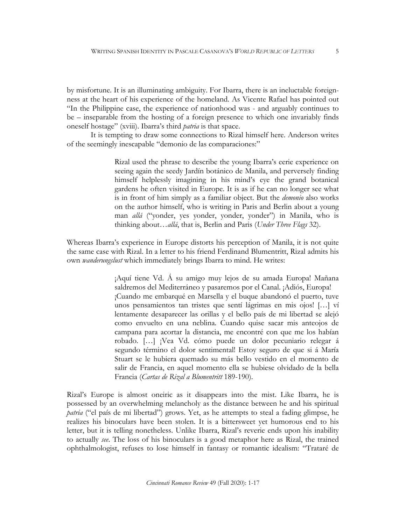by misfortune. It is an illuminating ambiguity. For Ibarra, there is an ineluctable foreignness at the heart of his experience of the homeland. As Vicente Rafael has pointed out "In the Philippine case, the experience of nationhood was - and arguably continues to be – inseparable from the hosting of a foreign presence to which one invariably finds oneself hostage" (xviii). Ibarra's third *patria* is that space.

It is tempting to draw some connections to Rizal himself here. Anderson writes of the seemingly inescapable "demonio de las comparaciones:"

> Rizal used the phrase to describe the young Ibarra's eerie experience on seeing again the seedy Jardín botánico de Manila, and perversely finding himself helplessly imagining in his mind's eye the grand botanical gardens he often visited in Europe. It is as if he can no longer see what is in front of him simply as a familiar object. But the *demonio* also works on the author himself, who is writing in Paris and Berlin about a young man *allá* ("yonder, yes yonder, yonder, yonder") in Manila, who is thinking about…*allá*, that is, Berlin and Paris (*Under Three Flags* 32).

Whereas Ibarra's experience in Europe distorts his perception of Manila, it is not quite the same case with Rizal. In a letter to his friend Ferdinand Blumentritt, Rizal admits his own *wanderungslust* which immediately brings Ibarra to mind. He writes:

> ¡Aquí tiene Vd. Á su amigo muy lejos de su amada Europa! Mañana saldremos del Mediterráneo y pasaremos por el Canal. ¡Adiós, Europa! ¡Cuando me embarqué en Marsella y el buque abandonó el puerto, tuve unos pensamientos tan tristes que sentí lágrimas en mis ojos! […] ví lentamente desaparecer las orillas y el bello país de mi libertad se alejó como envuelto en una neblina. Cuando quise sacar mis anteojos de campana para acortar la distancia, me encontré con que me los habían robado. […] ¡Vea Vd. cómo puede un dolor pecuniario relegar á segundo término el dolor sentimental! Estoy seguro de que si á María Stuart se le hubiera quemado su más bello vestido en el momento de salir de Francia, en aquel momento ella se hubiese olvidado de la bella Francia (*Cartas de Rizal a Blumentritt* 189-190).

Rizal's Europe is almost oneiric as it disappears into the mist. Like Ibarra, he is possessed by an overwhelming melancholy as the distance between he and his spiritual *patria* ("el país de mi libertad") grows. Yet, as he attempts to steal a fading glimpse, he realizes his binoculars have been stolen. It is a bittersweet yet humorous end to his letter, but it is telling nonetheless. Unlike Ibarra, Rizal's reverie ends upon his inability to actually *see*. The loss of his binoculars is a good metaphor here as Rizal, the trained ophthalmologist, refuses to lose himself in fantasy or romantic idealism: "Trataré de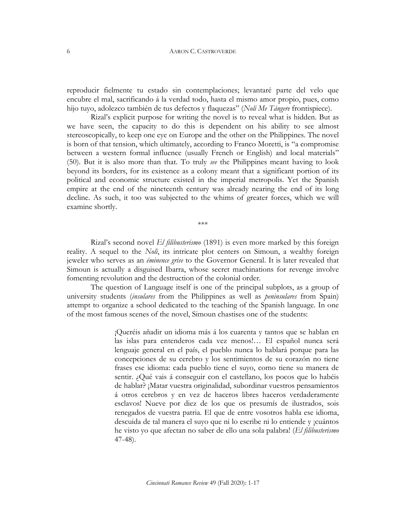reproducir fielmente tu estado sin contemplaciones; levantaré parte del velo que encubre el mal, sacrificando á la verdad todo, hasta el mismo amor propio, pues, como hijo tuyo, adolezco también de tus defectos y flaquezas" (*Noli Me Tángere* frontispiece).

Rizal's explicit purpose for writing the novel is to reveal what is hidden. But as we have seen, the capacity to do this is dependent on his ability to see almost stereoscopically, to keep one eye on Europe and the other on the Philippines. The novel is born of that tension, which ultimately, according to Franco Moretti, is "a compromise between a western formal influence (usually French or English) and local materials" (50). But it is also more than that. To truly *see* the Philippines meant having to look beyond its borders, for its existence as a colony meant that a significant portion of its political and economic structure existed in the imperial metropolis. Yet the Spanish empire at the end of the nineteenth century was already nearing the end of its long decline. As such, it too was subjected to the whims of greater forces, which we will examine shortly.

\*\*\*

Rizal's second novel *El filibusterismo* (1891) is even more marked by this foreign reality. A sequel to the *Noli*, its intricate plot centers on Simoun, a wealthy foreign jeweler who serves as an *éminence grise* to the Governor General. It is later revealed that Simoun is actually a disguised Ibarra, whose secret machinations for revenge involve fomenting revolution and the destruction of the colonial order.

The question of Language itself is one of the principal subplots, as a group of university students (*insulares* from the Philippines as well as *peninsulares* from Spain) attempt to organize a school dedicated to the teaching of the Spanish language. In one of the most famous scenes of the novel, Simoun chastises one of the students:

> ¡Queréis añadir un idioma más á los cuarenta y tantos que se hablan en las islas para entenderos cada vez menos!… El español nunca será lenguaje general en el país, el pueblo nunca lo hablará porque para las concepciones de su cerebro y los sentimientos de su corazón no tiene frases ese idioma: cada pueblo tiene el suyo, como tiene su manera de sentir. ¿Qué vais á conseguir con el castellano, los pocos que lo habéis de hablar? ¡Matar vuestra originalidad, subordinar vuestros pensamientos á otros cerebros y en vez de haceros libres haceros verdaderamente esclavos! Nueve por diez de los que os presumís de ilustrados, sois renegados de vuestra patria. El que de entre vosotros habla ese idioma, descuida de tal manera el suyo que ni lo escribe ni lo entiende y ¡cuántos he visto yo que afectan no saber de ello una sola palabra! (*El filibusterismo* 47-48).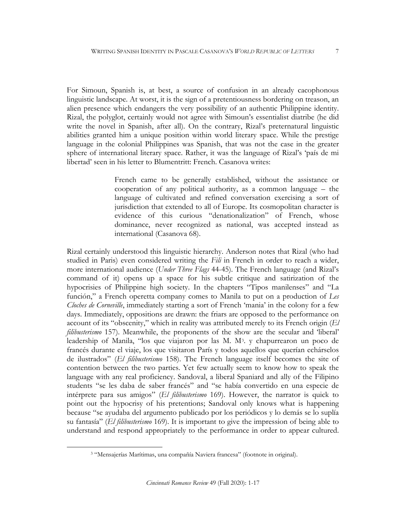For Simoun, Spanish is, at best, a source of confusion in an already cacophonous linguistic landscape. At worst, it is the sign of a pretentiousness bordering on treason, an alien presence which endangers the very possibility of an authentic Philippine identity. Rizal, the polyglot, certainly would not agree with Simoun's essentialist diatribe (he did write the novel in Spanish, after all). On the contrary, Rizal's preternatural linguistic abilities granted him a unique position within world literary space. While the prestige language in the colonial Philippines was Spanish, that was not the case in the greater sphere of international literary space. Rather, it was the language of Rizal's 'país de mi libertad' seen in his letter to Blumentritt: French. Casanova writes:

> French came to be generally established, without the assistance or cooperation of any political authority, as a common language – the language of cultivated and refined conversation exercising a sort of jurisdiction that extended to all of Europe. Its cosmopolitan character is evidence of this curious "denationalization" of French, whose dominance, never recognized as national, was accepted instead as international (Casanova 68).

Rizal certainly understood this linguistic hierarchy. Anderson notes that Rizal (who had studied in Paris) even considered writing the *Fili* in French in order to reach a wider, more international audience (*Under Three Flags* 44-45). The French language (and Rizal's command of it) opens up a space for his subtle critique and satirization of the hypocrisies of Philippine high society. In the chapters "Tipos manilenses" and "La función," a French operetta company comes to Manila to put on a production of *Les Cloches de Corneville*, immediately starting a sort of French 'mania' in the colony for a few days. Immediately, oppositions are drawn: the friars are opposed to the performance on account of its "obscenity," which in reality was attributed merely to its French origin (*El filibusterismo* 157). Meanwhile, the proponents of the show are the secular and 'liberal' leadership of Manila, "los que viajaron por las M. M[3.](#page-7-0) y chapurrearon un poco de francés durante el viaje, los que visitaron París y todos aquellos que querían echárselos de ilustrados" (*El filibusterismo* 158). The French language itself becomes the site of contention between the two parties. Yet few actually seem to know how to speak the language with any real proficiency. Sandoval, a liberal Spaniard and ally of the Filipino students "se les daba de saber francés" and "se había convertido en una especie de intérprete para sus amigos" (*El filibusterismo* 169). However, the narrator is quick to point out the hypocrisy of his pretentions; Sandoval only knows what is happening because "se ayudaba del argumento publicado por los periódicos y lo demás se lo suplía su fantasía" (*El filibusterismo* 169). It is important to give the impression of being able to understand and respond appropriately to the performance in order to appear cultured.

<span id="page-7-0"></span> $\overline{a}$ 

<sup>3</sup> "Mensajerías Marítimas, una compañía Naviera francesa" (footnote in original).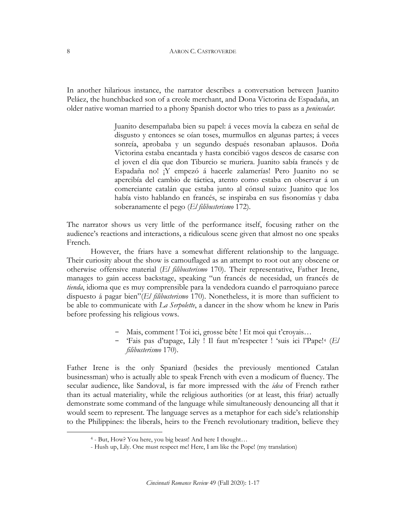In another hilarious instance, the narrator describes a conversation between Juanito Peláez, the hunchbacked son of a creole merchant, and Dona Victorina de Espadaña, an older native woman married to a phony Spanish doctor who tries to pass as a *peninsular*.

> Juanito desempañaba bien su papel: á veces movía la cabeza en señal de disgusto y entonces se oían toses, murmullos en algunas partes; á veces sonreía, aprobaba y un segundo después resonaban aplausos. Doña Victorina estaba encantada y hasta concibió vagos deseos de casarse con el joven el día que don Tiburcio se muriera. Juanito sabía francés y de Espadaña no! ¡Y empezó á hacerle zalamerías! Pero Juanito no se apercibía del cambio de táctica, atento como estaba en observar á un comerciante catalán que estaba junto al cónsul suizo: Juanito que los había visto hablando en francés, se inspiraba en sus fisonomías y daba soberanamente el pego (*El filibusterismo* 172).

The narrator shows us very little of the performance itself, focusing rather on the audience's reactions and interactions, a ridiculous scene given that almost no one speaks French.

However, the friars have a somewhat different relationship to the language. Their curiosity about the show is camouflaged as an attempt to root out any obscene or otherwise offensive material (*El filibusterismo* 170). Their representative, Father Irene, manages to gain access backstage, speaking "un francés de necesidad, un francés de *tienda*, idioma que es muy comprensible para la vendedora cuando el parroquiano parece dispuesto á pagar bien"(*El filibusterismo* 170). Nonetheless, it is more than sufficient to be able to communicate with *La Serpolette*, a dancer in the show whom he knew in Paris before professing his religious vows.

- Mais, comment ! Toi ici, grosse bête ! Et moi qui t'croyais…
- 'Fais pas d'tapage, Lily ! Il faut m'respecter ! 'suis ici l'Pape![4](#page-8-0) (*El filibusterismo* 170).

Father Irene is the only Spaniard (besides the previously mentioned Catalan businessman) who is actually able to speak French with even a modicum of fluency. The secular audience, like Sandoval, is far more impressed with the *idea* of French rather than its actual materiality, while the religious authorities (or at least, this friar) actually demonstrate some command of the language while simultaneously denouncing all that it would seem to represent. The language serves as a metaphor for each side's relationship to the Philippines: the liberals, heirs to the French revolutionary tradition, believe they

<span id="page-8-0"></span> $\overline{a}$ 

8

<sup>4 -</sup> But, How? You here, you big beast! And here I thought…

 <sup>-</sup> Hush up, Lily. One must respect me! Here, I am like the Pope! (my translation)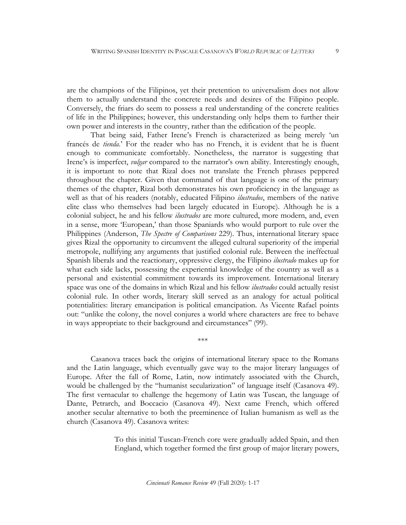are the champions of the Filipinos, yet their pretention to universalism does not allow them to actually understand the concrete needs and desires of the Filipino people. Conversely, the friars do seem to possess a real understanding of the concrete realities of life in the Philippines; however, this understanding only helps them to further their own power and interests in the country, rather than the edification of the people.

That being said, Father Irene's French is characterized as being merely 'un francés de *tienda*.' For the reader who has no French, it is evident that he is fluent enough to communicate comfortably. Nonetheless, the narrator is suggesting that Irene's is imperfect, *vulgar* compared to the narrator's own ability. Interestingly enough, it is important to note that Rizal does not translate the French phrases peppered throughout the chapter. Given that command of that language is one of the primary themes of the chapter, Rizal both demonstrates his own proficiency in the language as well as that of his readers (notably, educated Filipino *ilustrados*, members of the native elite class who themselves had been largely educated in Europe). Although he is a colonial subject, he and his fellow *ilustrados* are more cultured, more modern, and, even in a sense, more 'European,' than those Spaniards who would purport to rule over the Philippines (Anderson, *The Spectre of Comparisons* 229). Thus, international literary space gives Rizal the opportunity to circumvent the alleged cultural superiority of the imperial metropole, nullifying any arguments that justified colonial rule. Between the ineffectual Spanish liberals and the reactionary, oppressive clergy, the Filipino *ilustrado* makes up for what each side lacks, possessing the experiential knowledge of the country as well as a personal and existential commitment towards its improvement. International literary space was one of the domains in which Rizal and his fellow *ilustrados* could actually resist colonial rule. In other words, literary skill served as an analogy for actual political potentialities: literary emancipation is political emancipation. As Vicente Rafael points out: "unlike the colony, the novel conjures a world where characters are free to behave in ways appropriate to their background and circumstances" (99).

Casanova traces back the origins of international literary space to the Romans and the Latin language, which eventually gave way to the major literary languages of Europe. After the fall of Rome, Latin, now intimately associated with the Church, would be challenged by the "humanist secularization" of language itself (Casanova 49). The first vernacular to challenge the hegemony of Latin was Tuscan, the language of Dante, Petrarch, and Boccacio (Casanova 49). Next came French, which offered another secular alternative to both the preeminence of Italian humanism as well as the church (Casanova 49). Casanova writes:

\*\*\*

To this initial Tuscan-French core were gradually added Spain, and then England, which together formed the first group of major literary powers,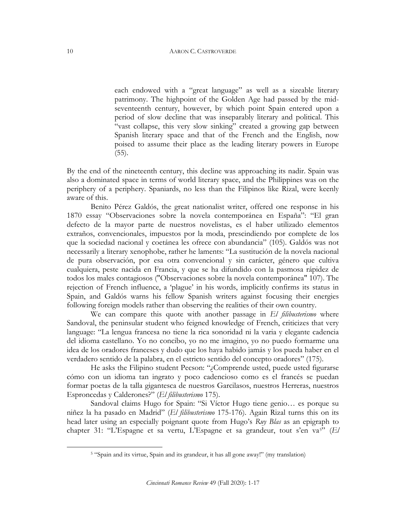each endowed with a "great language" as well as a sizeable literary patrimony. The highpoint of the Golden Age had passed by the midseventeenth century, however, by which point Spain entered upon a period of slow decline that was inseparably literary and political. This "vast collapse, this very slow sinking" created a growing gap between Spanish literary space and that of the French and the English, now poised to assume their place as the leading literary powers in Europe  $(55)$ .

By the end of the nineteenth century, this decline was approaching its nadir. Spain was also a dominated space in terms of world literary space, and the Philippines was on the periphery of a periphery. Spaniards, no less than the Filipinos like Rizal, were keenly aware of this.

Benito Pérez Galdós, the great nationalist writer, offered one response in his 1870 essay "Observaciones sobre la novela contemporánea en España": "El gran defecto de la mayor parte de nuestros novelistas, es el haber utilizado elementos extraños, convencionales, impuestos por la moda, prescindiendo por complete de los que la sociedad nacional y coetánea les ofrece con abundancia" (105). Galdós was not necessarily a literary xenophobe, rather he laments: "La sustitución de la novela nacional de pura observación, por esa otra convencional y sin carácter, género que cultiva cualquiera, peste nacida en Francia, y que se ha difundido con la pasmosa rápidez de todos los males contagiosos ("Observaciones sobre la novela contemporánea" 107). The rejection of French influence, a 'plague' in his words, implicitly confirms its status in Spain, and Galdós warns his fellow Spanish writers against focusing their energies following foreign models rather than observing the realities of their own country.

We can compare this quote with another passage in *El filibusterismo* where Sandoval, the peninsular student who feigned knowledge of French, criticizes that very language: "La lengua francesa no tiene la rica sonoridad ni la varia y elegante cadencia del idioma castellano. Yo no concibo, yo no me imagino, yo no puedo formarme una idea de los oradores franceses y dudo que los haya habido jamás y los pueda haber en el verdadero sentido de la palabra, en el estricto sentido del concepto oradores" (175).

He asks the Filipino student Pecson: "¿Comprende usted, puede usted figurarse cómo con un idioma tan ingrato y poco cadencioso como es el francés se puedan formar poetas de la talla gigantesca de nuestros Garcilasos, nuestros Herreras, nuestros Esproncedas y Calderones?" (*El filibusterismo* 175).

Sandoval claims Hugo for Spain: "Si Víctor Hugo tiene genio… es porque su niñez la ha pasado en Madrid" (*El filibusterismo* 175-176). Again Rizal turns this on its head later using an especially poignant quote from Hugo's *Ruy Blas* as an epigraph to chapter 31: "L'Espagne et sa vertu, L'Espagne et sa grandeur, tout s'en va[5](#page-10-0)" (*El* 

<span id="page-10-0"></span> $\overline{a}$ 

<sup>5</sup> "Spain and its virtue, Spain and its grandeur, it has all gone away!" (my translation)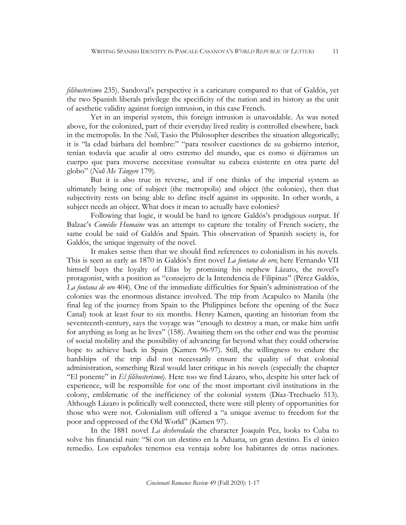*filibusterismo* 235). Sandoval's perspective is a caricature compared to that of Galdós, yet the two Spanish liberals privilege the specificity of the nation and its history as the unit of aesthetic validity against foreign intrusion, in this case French.

Yet in an imperial system, this foreign intrusion is unavoidable. As was noted above, for the colonized, part of their everyday lived reality is controlled elsewhere, back in the metropolis. In the *Noli*, Tasio the Philosopher describes the situation allegorically; it is "la edad bárbara del hombre:" "para resolver cuestiones de su gobierno interior, tenían todavía que acudir al otro estremo del mundo, que es como si dijéramos un cuerpo que para moverse necesitase consultar su cabeza existente en otra parte del globo" (*Noli Me Tángere* 179).

But it is also true in reverse, and if one thinks of the imperial system as ultimately being one of subject (the metropolis) and object (the colonies), then that subjectivity rests on being able to define itself against its opposite. In other words, a subject needs an object. What does it mean to actually have colonies?

Following that logic, it would be hard to ignore Galdós's prodigious output. If Balzac's *Comédie Humaine* was an attempt to capture the totality of French society, the same could be said of Galdós and Spain. This observation of Spanish society is, for Galdós, the unique ingenuity of the novel.

It makes sense then that we should find references to colonialism in his novels. This is seen as early as 1870 in Galdós's first novel *La fontana de oro*; here Fernando VII himself buys the loyalty of Elías by promising his nephew Lázaro, the novel's protagonist, with a position as "consejero de la Intendencia de Filipinas" (Pérez Galdós, *La fontana de oro* 404). One of the immediate difficulties for Spain's administration of the colonies was the enormous distance involved. The trip from Acapulco to Manila (the final leg of the journey from Spain to the Philippines before the opening of the Suez Canal) took at least four to six months. Henry Kamen, quoting an historian from the seventeenth-century, says the voyage was "enough to destroy a man, or make him unfit for anything as long as he lives" (158). Awaiting them on the other end was the promise of social mobility and the possibility of advancing far beyond what they could otherwise hope to achieve back in Spain (Kamen 96-97). Still, the willingness to endure the hardships of the trip did not necessarily ensure the quality of that colonial administration, something Rizal would later critique in his novels (especially the chapter "El ponente" in *El filibusterismo*). Here too we find Lázaro, who, despite his utter lack of experience, will be responsible for one of the most important civil institutions in the colony, emblematic of the inefficiency of the colonial system (Díaz-Trechuelo 513). Although Lázaro is politically well connected, there were still plenty of opportunities for those who were not. Colonialism still offered a "a unique avenue to freedom for the poor and oppressed of the Old World" (Kamen 97).

In the 1881 novel *La desheredada* the character Joaquín Pez, looks to Cuba to solve his financial ruin: "Sí con un destino en la Aduana, un gran destino. Es el único remedio. Los españoles tenemos esa ventaja sobre los habitantes de otras naciones.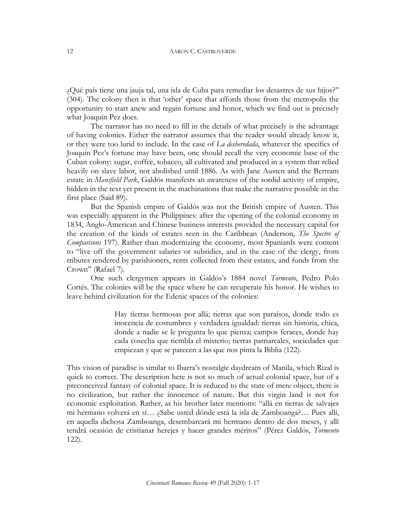¿Qué país tiene una jauja tal, una isla de Cuba para remediar los desastres de sus hijos?" (304). The colony then is that 'other' space that affords those from the metropolis the opportunity to start anew and regain fortune and honor, which we find out is precisely what Joaquín Pez does.

The narrator has no need to fill in the details of what precisely is the advantage of having colonies. Either the narrator assumes that the reader would already know it, or they were too lurid to include. In the case of *La desheredada*, whatever the specifics of Joaquin Pez's fortune may have been, one should recall the very economic base of the Cuban colony: sugar, coffee, tobacco, all cultivated and produced in a system that relied heavily on slave labor, not abolished until 1886. As with Jane Austen and the Bertram estate in *Mansfield Park*, Galdós manifests an awareness of the sordid activity of empire, hidden in the text yet present in the machinations that make the narrative possible in the first place (Said 89).

But the Spanish empire of Galdós was not the British empire of Austen. This was especially apparent in the Philippines: after the opening of the colonial economy in 1834, Anglo-American and Chinese business interests provided the necessary capital for the creation of the kinds of estates seen in the Caribbean (Anderson, *The Spectre of Comparisons* 197). Rather than modernizing the economy, most Spaniards were content to "live off the government salaries or subsidies, and in the case of the clergy, from tributes rendered by parishioners, rents collected from their estates, and funds from the Crown" (Rafael 7).

One such clergymen appears in Galdós's 1884 novel *Tormento*, Pedro Polo Cortés. The colonies will be the space where he can recuperate his honor. He wishes to leave behind civilization for the Edenic spaces of the colonies:

> Hay tierras hermosas por allá; tierras que son paraísos, donde todo es inocencia de costumbres y verdadera igualdad: tierras sin historia, chica, donde a nadie se le pregunta lo que piensa; campos feraces, donde hay cada cosecha que tiembla el misterio; tierras patriarcales, sociedades que empiezan y que se parecen a las que nos pinta la Biblia (122).

This vision of paradise is similar to Ibarra's nostalgic daydream of Manila, which Rizal is quick to correct. The description here is not so much of actual colonial space, but of a preconceived fantasy of colonial space. It is reduced to the state of mere object, there is no civilization, but rather the innocence of nature. But this virgin land is not for economic exploitation. Rather, as his brother later mentions: "allá en tierras de salvajes mi hermano volverá en sí… ¿Sabe usted dónde está la isla de Zamboanga?… Pues allí, en aquella dichosa Zamboanga, desembarcará mi hermano dentro de dos meses, y allí tendrá ocasión de cristianar herejes y hacer grandes méritos" (Pérez Galdós, *Tormento* 122).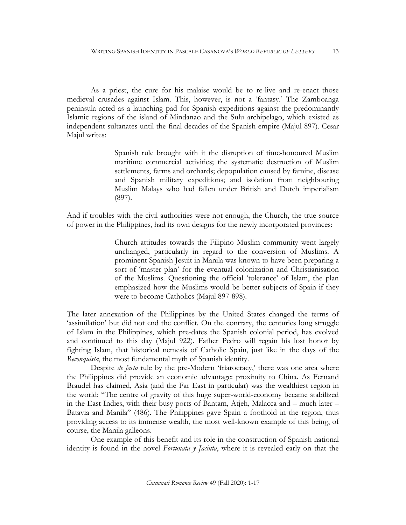As a priest, the cure for his malaise would be to re-live and re-enact those medieval crusades against Islam. This, however, is not a 'fantasy.' The Zamboanga peninsula acted as a launching pad for Spanish expeditions against the predominantly Islamic regions of the island of Mindanao and the Sulu archipelago, which existed as independent sultanates until the final decades of the Spanish empire (Majul 897). Cesar Majul writes:

> Spanish rule brought with it the disruption of time-honoured Muslim maritime commercial activities; the systematic destruction of Muslim settlements, farms and orchards; depopulation caused by famine, disease and Spanish military expeditions; and isolation from neighbouring Muslim Malays who had fallen under British and Dutch imperialism (897).

And if troubles with the civil authorities were not enough, the Church, the true source of power in the Philippines, had its own designs for the newly incorporated provinces:

> Church attitudes towards the Filipino Muslim community went largely unchanged, particularly in regard to the conversion of Muslims. A prominent Spanish Jesuit in Manila was known to have been preparing a sort of 'master plan' for the eventual colonization and Christianisation of the Muslims. Questioning the official 'tolerance' of Islam, the plan emphasized how the Muslims would be better subjects of Spain if they were to become Catholics (Majul 897-898).

The later annexation of the Philippines by the United States changed the terms of 'assimilation' but did not end the conflict. On the contrary, the centuries long struggle of Islam in the Philippines, which pre-dates the Spanish colonial period, has evolved and continued to this day (Majul 922). Father Pedro will regain his lost honor by fighting Islam, that historical nemesis of Catholic Spain, just like in the days of the *Reconquista*, the most fundamental myth of Spanish identity.

Despite *de facto* rule by the pre-Modern 'friarocracy,' there was one area where the Philippines did provide an economic advantage: proximity to China. As Fernand Braudel has claimed, Asia (and the Far East in particular) was the wealthiest region in the world: "The centre of gravity of this huge super-world-economy became stabilized in the East Indies, with their busy ports of Bantam, Atjeh, Malacca and – much later – Batavia and Manila" (486). The Philippines gave Spain a foothold in the region, thus providing access to its immense wealth, the most well-known example of this being, of course, the Manila galleons.

One example of this benefit and its role in the construction of Spanish national identity is found in the novel *Fortunata y Jacinta*, where it is revealed early on that the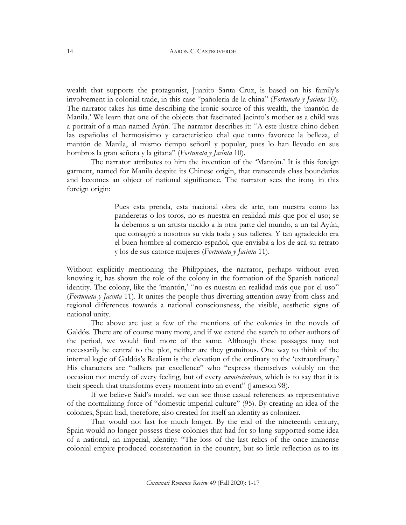wealth that supports the protagonist, Juanito Santa Cruz, is based on his family's involvement in colonial trade, in this case "pañolería de la china" (*Fortunata y Jacinta* 10). The narrator takes his time describing the ironic source of this wealth, the 'mantón de Manila.' We learn that one of the objects that fascinated Jacinto's mother as a child was a portrait of a man named Ayún. The narrator describes it: "A este ilustre chino deben las españolas el hermosísimo y característico chal que tanto favorece la belleza, el mantón de Manila, al mismo tiempo señoril y popular, pues lo han llevado en sus hombros la gran señora y la gitana" (*Fortunata y Jacinta* 10).

The narrator attributes to him the invention of the 'Mantón.' It is this foreign garment, named for Manila despite its Chinese origin, that transcends class boundaries and becomes an object of national significance. The narrator sees the irony in this foreign origin:

> Pues esta prenda, esta nacional obra de arte, tan nuestra como las panderetas o los toros, no es nuestra en realidad más que por el uso; se la debemos a un artista nacido a la otra parte del mundo, a un tal Ayún, que consagró a nosotros su vida toda y sus talleres. Y tan agradecido era el buen hombre al comercio español, que enviaba a los de acá su retrato y los de sus catorce mujeres (*Fortunata y Jacinta* 11).

Without explicitly mentioning the Philippines, the narrator, perhaps without even knowing it, has shown the role of the colony in the formation of the Spanish national identity. The colony, like the 'mantón,' "no es nuestra en realidad más que por el uso" (*Fortunata y Jacinta* 11). It unites the people thus diverting attention away from class and regional differences towards a national consciousness, the visible, aesthetic signs of national unity.

The above are just a few of the mentions of the colonies in the novels of Galdós. There are of course many more, and if we extend the search to other authors of the period, we would find more of the same. Although these passages may not necessarily be central to the plot, neither are they gratuitous. One way to think of the internal logic of Galdós's Realism is the elevation of the ordinary to the 'extraordinary.' His characters are "talkers par excellence" who "express themselves volubly on the occasion not merely of every feeling, but of every *acontecimiento*, which is to say that it is their speech that transforms every moment into an event" (Jameson 98).

If we believe Said's model, we can see those casual references as representative of the normalizing force of "domestic imperial culture" (95). By creating an idea of the colonies, Spain had, therefore, also created for itself an identity as colonizer.

That would not last for much longer. By the end of the nineteenth century, Spain would no longer possess these colonies that had for so long supported some idea of a national, an imperial, identity: "The loss of the last relics of the once immense colonial empire produced consternation in the country, but so little reflection as to its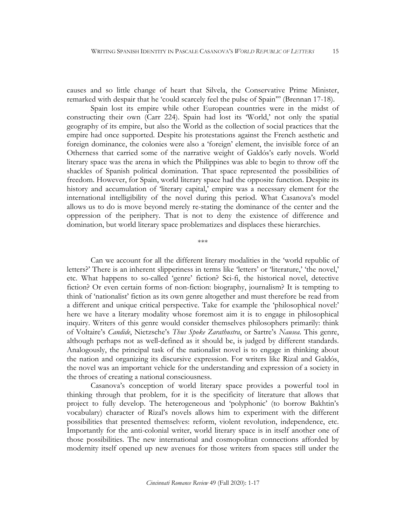causes and so little change of heart that Silvela, the Conservative Prime Minister, remarked with despair that he 'could scarcely feel the pulse of Spain'" (Brennan 17-18).

Spain lost its empire while other European countries were in the midst of constructing their own (Carr 224). Spain had lost its 'World,' not only the spatial geography of its empire, but also the World as the collection of social practices that the empire had once supported. Despite his protestations against the French aesthetic and foreign dominance, the colonies were also a 'foreign' element, the invisible force of an Otherness that carried some of the narrative weight of Galdós's early novels. World literary space was the arena in which the Philippines was able to begin to throw off the shackles of Spanish political domination. That space represented the possibilities of freedom. However, for Spain, world literary space had the opposite function. Despite its history and accumulation of 'literary capital,' empire was a necessary element for the international intelligibility of the novel during this period. What Casanova's model allows us to do is move beyond merely re-stating the dominance of the center and the oppression of the periphery. That is not to deny the existence of difference and domination, but world literary space problematizes and displaces these hierarchies.

\*\*\*

Can we account for all the different literary modalities in the 'world republic of letters?' There is an inherent slipperiness in terms like 'letters' or 'literature,' 'the novel,' etc. What happens to so-called 'genre' fiction? Sci-fi, the historical novel, detective fiction? Or even certain forms of non-fiction: biography, journalism? It is tempting to think of 'nationalist' fiction as its own genre altogether and must therefore be read from a different and unique critical perspective. Take for example the 'philosophical novel:' here we have a literary modality whose foremost aim it is to engage in philosophical inquiry. Writers of this genre would consider themselves philosophers primarily: think of Voltaire's *Candide*, Nietzsche's *Thus Spoke Zarathustra*, or Sartre's *Nausea*. This genre, although perhaps not as well-defined as it should be, is judged by different standards. Analogously, the principal task of the nationalist novel is to engage in thinking about the nation and organizing its discursive expression. For writers like Rizal and Galdós, the novel was an important vehicle for the understanding and expression of a society in the throes of creating a national consciousness.

Casanova's conception of world literary space provides a powerful tool in thinking through that problem, for it is the specificity of literature that allows that project to fully develop. The heterogeneous and 'polyphonic' (to borrow Bakhtin's vocabulary) character of Rizal's novels allows him to experiment with the different possibilities that presented themselves: reform, violent revolution, independence, etc. Importantly for the anti-colonial writer, world literary space is in itself another one of those possibilities. The new international and cosmopolitan connections afforded by modernity itself opened up new avenues for those writers from spaces still under the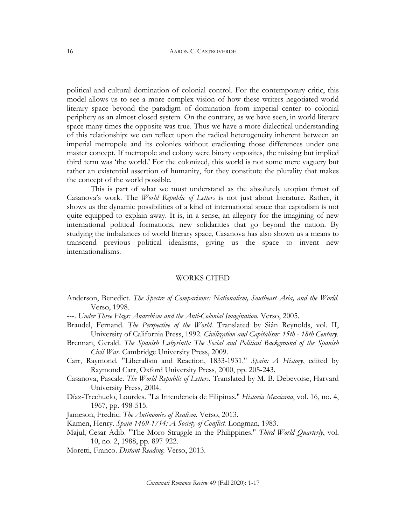political and cultural domination of colonial control. For the contemporary critic, this model allows us to see a more complex vision of how these writers negotiated world literary space beyond the paradigm of domination from imperial center to colonial periphery as an almost closed system. On the contrary, as we have seen, in world literary space many times the opposite was true. Thus we have a more dialectical understanding of this relationship: we can reflect upon the radical heterogeneity inherent between an imperial metropole and its colonies without eradicating those differences under one master concept. If metropole and colony were binary opposites, the missing but implied third term was 'the world.' For the colonized, this world is not some mere vaguery but rather an existential assertion of humanity, for they constitute the plurality that makes the concept of the world possible.

This is part of what we must understand as the absolutely utopian thrust of Casanova's work. The *World Republic of Letters* is not just about literature. Rather, it shows us the dynamic possibilities of a kind of international space that capitalism is not quite equipped to explain away. It is, in a sense, an allegory for the imagining of new international political formations, new solidarities that go beyond the nation. By studying the imbalances of world literary space, Casanova has also shown us a means to transcend previous political idealisms, giving us the space to invent new internationalisms.

### WORKS CITED

Anderson, Benedict. *The Spectre of Comparisons: Nationalism, Southeast Asia, and the World.* Verso, 1998.

---. *Under Three Flags: Anarchism and the Anti-Colonial Imagination.* Verso, 2005.

- Braudel, Fernand. *The Perspective of the World.* Translated by Siân Reynolds, vol. II, University of California Press, 1992. *Civilization and Capitalism: 15th - 18th Century*.
- Brennan, Gerald. *The Spanish Labyrinth: The Social and Political Background of the Spanish Civil War.* Cambridge University Press, 2009.
- Carr, Raymond. "Liberalism and Reaction, 1833-1931." *Spain: A History*, edited by Raymond Carr, Oxford University Press, 2000, pp. 205-243.
- Casanova, Pascale. *The World Republic of Letters.* Translated by M. B. Debevoise, Harvard University Press, 2004.
- Díaz-Trechuelo, Lourdes. "La Intendencia de Filipinas." *Historia Mexicana*, vol. 16, no. 4, 1967, pp. 498-515.
- Jameson, Fredric. *The Antinomies of Realism.* Verso, 2013.

Kamen, Henry. *Spain 1469-1714: A Society of Conflict.* Longman, 1983.

Majul, Cesar Adib. "The Moro Struggle in the Philippines." *Third World Quarterly*, vol. 10, no. 2, 1988, pp. 897-922.

Moretti, Franco. *Distant Reading.* Verso, 2013.